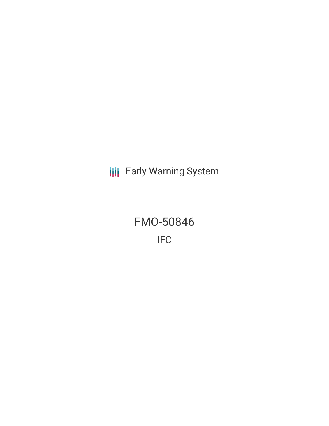**III** Early Warning System

FMO-50846 IFC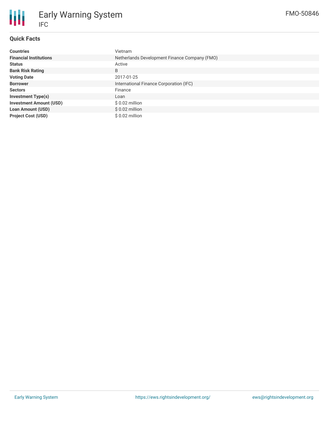

### **Quick Facts**

| <b>Countries</b>               | Vietnam                                       |  |  |  |
|--------------------------------|-----------------------------------------------|--|--|--|
| <b>Financial Institutions</b>  | Netherlands Development Finance Company (FMO) |  |  |  |
| <b>Status</b>                  | Active                                        |  |  |  |
| <b>Bank Risk Rating</b>        | B                                             |  |  |  |
| <b>Voting Date</b>             | 2017-01-25                                    |  |  |  |
| <b>Borrower</b>                | International Finance Corporation (IFC)       |  |  |  |
| <b>Sectors</b>                 | Finance                                       |  |  |  |
| <b>Investment Type(s)</b>      | Loan                                          |  |  |  |
| <b>Investment Amount (USD)</b> | $$0.02$ million                               |  |  |  |
| <b>Loan Amount (USD)</b>       | $$0.02$ million                               |  |  |  |
| <b>Project Cost (USD)</b>      | $$0.02$ million                               |  |  |  |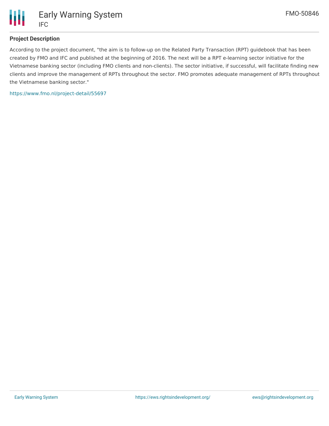

# **Project Description**

According to the project document, "the aim is to follow-up on the Related Party Transaction (RPT) guidebook that has been created by FMO and IFC and published at the beginning of 2016. The next will be a RPT e-learning sector initiative for the Vietnamese banking sector (including FMO clients and non-clients). The sector initiative, if successful, will facilitate finding new clients and improve the management of RPTs throughout the sector. FMO promotes adequate management of RPTs throughout the Vietnamese banking sector."

<https://www.fmo.nl/project-detail/55697>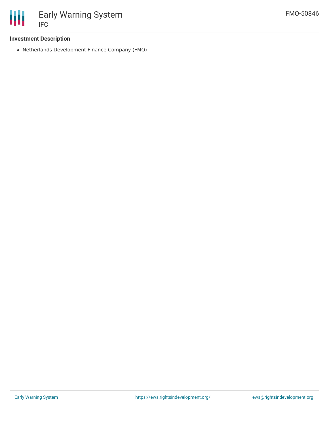

### **Investment Description**

Netherlands Development Finance Company (FMO)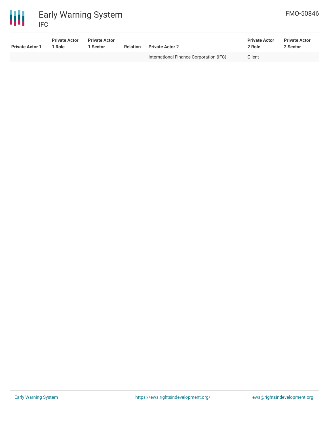

冊 Early Warning System IFC

| <b>Private Actor 1</b> | <b>Private Actor</b><br>1 Role | <b>Private Actor</b><br>1 Sector | <b>Relation</b> | <b>Private Actor 2</b>                  | <b>Private Actor</b><br>2 Role | <b>Private Actor</b><br>2 Sector |
|------------------------|--------------------------------|----------------------------------|-----------------|-----------------------------------------|--------------------------------|----------------------------------|
|                        | $\overline{\phantom{0}}$       | $-$                              | $ -$            | International Finance Corporation (IFC) | Client                         | $\overline{\phantom{a}}$         |